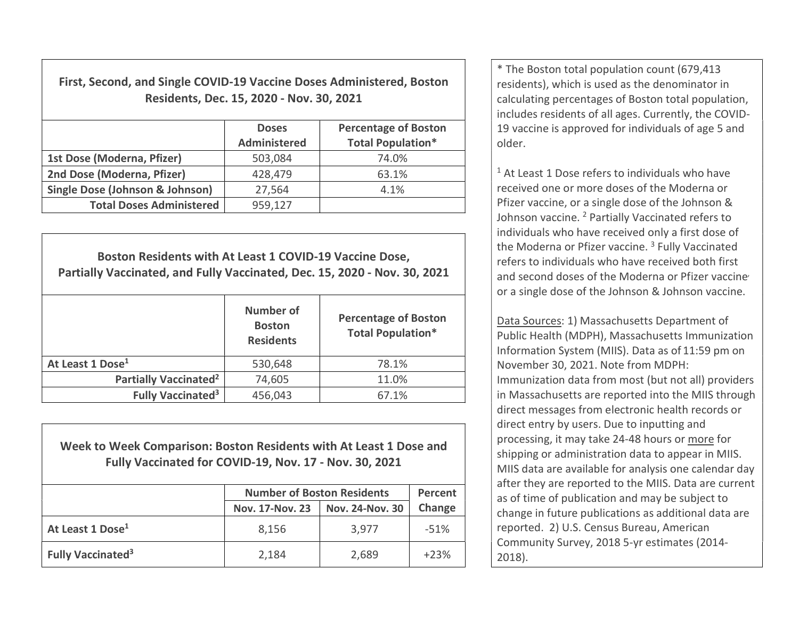First, Second, and Single COVID-19 Vaccine Doses Administered, Boston Residents, Dec. 15, 2020 - Nov. 30, 2021

|                                            | <b>Doses</b><br>Administered | <b>Percentage of Boston</b><br><b>Total Population*</b> |
|--------------------------------------------|------------------------------|---------------------------------------------------------|
| 1st Dose (Moderna, Pfizer)                 | 503,084                      | 74.0%                                                   |
| 2nd Dose (Moderna, Pfizer)                 | 428,479                      | 63.1%                                                   |
| <b>Single Dose (Johnson &amp; Johnson)</b> | 27,564                       | 4.1%                                                    |
| <b>Total Doses Administered</b>            | 959,127                      |                                                         |

Boston Residents with At Least 1 COVID-19 Vaccine Dose, Partially Vaccinated, and Fully Vaccinated, Dec. 15, 2020 - Nov. 30, 2021 Number of **Boston Residents** Percentage of Boston Total Population\* At Least 1 Dose<sup>1</sup> 530,648 78.1% Partially Vaccinated<sup>2</sup> 74,605 11.0% Fully Vaccinated<sup>3</sup> 456,043  $\vert$  67.1%

Week to Week Comparison: Boston Residents with At Least 1 Dose and Fully Vaccinated for COVID-19, Nov. 17 - Nov. 30, 2021

|                               | <b>Number of Boston Residents</b> | Percent                |        |
|-------------------------------|-----------------------------------|------------------------|--------|
|                               | <b>Nov. 17-Nov. 23</b>            | <b>Nov. 24-Nov. 30</b> | Change |
| At Least 1 Dose <sup>1</sup>  | 8,156                             | 3,977                  | $-51%$ |
| Fully Vaccinated <sup>3</sup> | 2,184                             | 2,689                  | $+23%$ |

\* The Boston total population count (679,413 residents), which is used as the denominator in calculating percentages of Boston total population, includes residents of all ages. Currently, the COVID-19 vaccine is approved for individuals of age 5 and older.

<sup>1</sup> At Least 1 Dose refers to individuals who have received one or more doses of the Moderna or Pfizer vaccine, or a single dose of the Johnson & Johnson vaccine. <sup>2</sup> Partially Vaccinated refers to individuals who have received only a first dose of the Moderna or Pfizer vaccine.<sup>3</sup> Fully Vaccinated refers to individuals who have received both first and second doses of the Moderna or Pfizer vaccine or a single dose of the Johnson & Johnson vaccine.

Data Sources: 1) Massachusetts Department of Public Health (MDPH), Massachusetts Immunization Information System (MIIS). Data as of 11:59 pm on November 30, 2021. Note from MDPH: Immunization data from most (but not all) providers in Massachusetts are reported into the MIIS through direct messages from electronic health records or direct entry by users. Due to inputting and processing, it may take 24-48 hours or more for shipping or administration data to appear in MIIS. MIIS data are available for analysis one calendar day after they are reported to the MIIS. Data are current as of time of publication and may be subject to change in future publications as additional data are reported. 2) U.S. Census Bureau, American Community Survey, 2018 5-yr estimates (2014- 2018).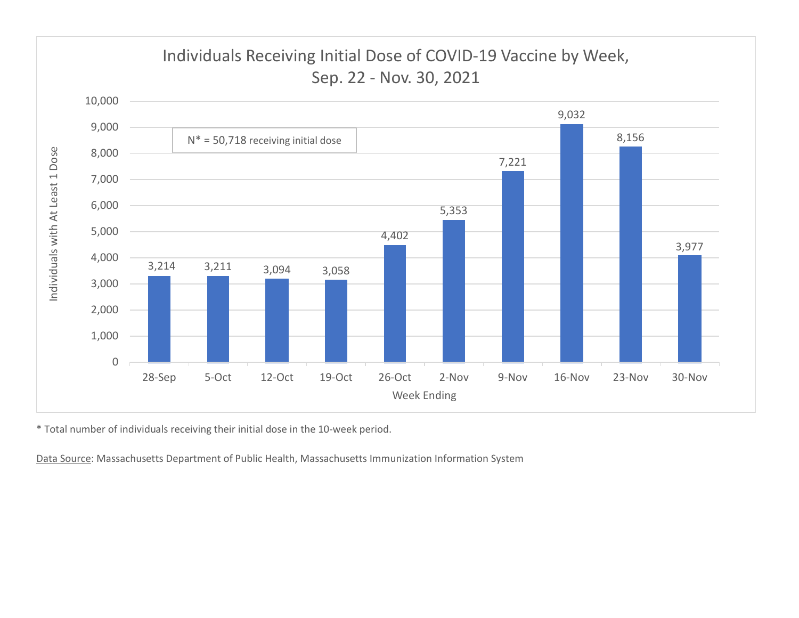

\* Total number of individuals receiving their initial dose in the 10-week period.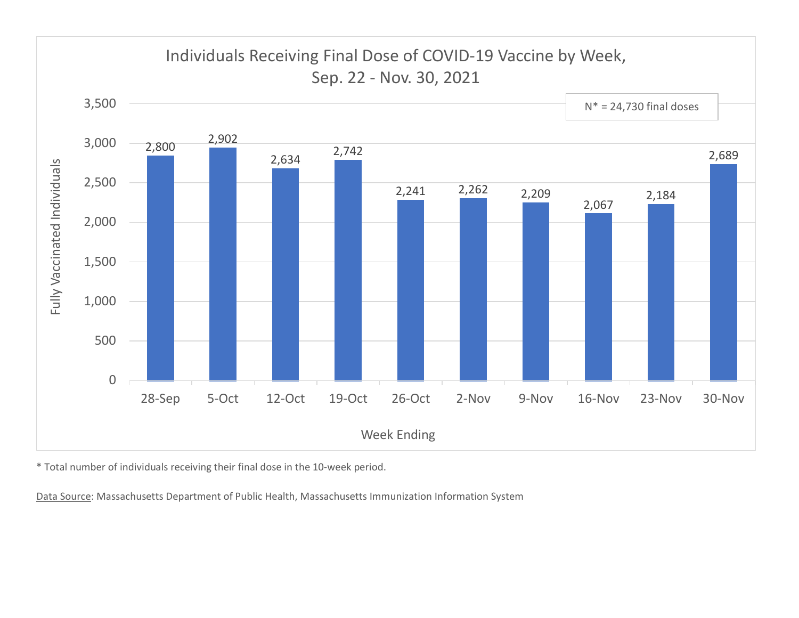

\* Total number of individuals receiving their final dose in the 10-week period.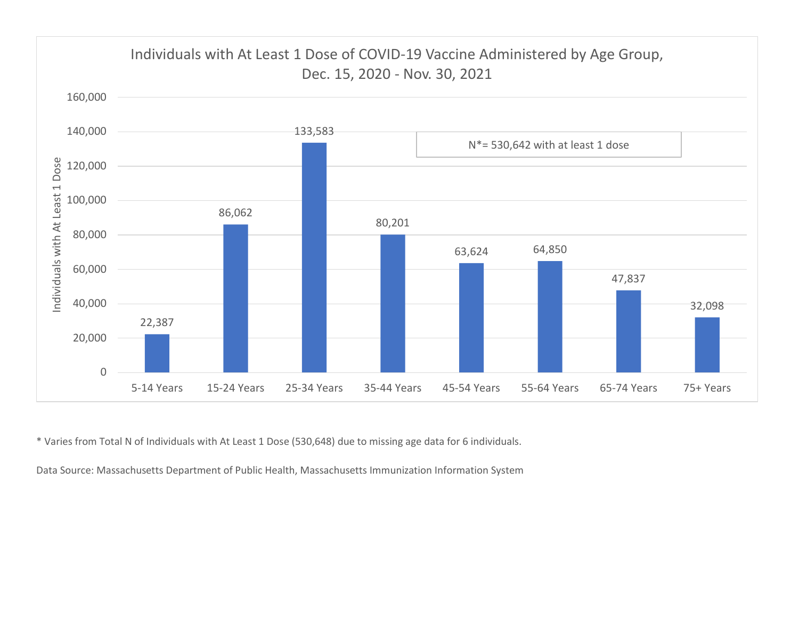

\* Varies from Total N of Individuals with At Least 1 Dose (530,648) due to missing age data for 6 individuals.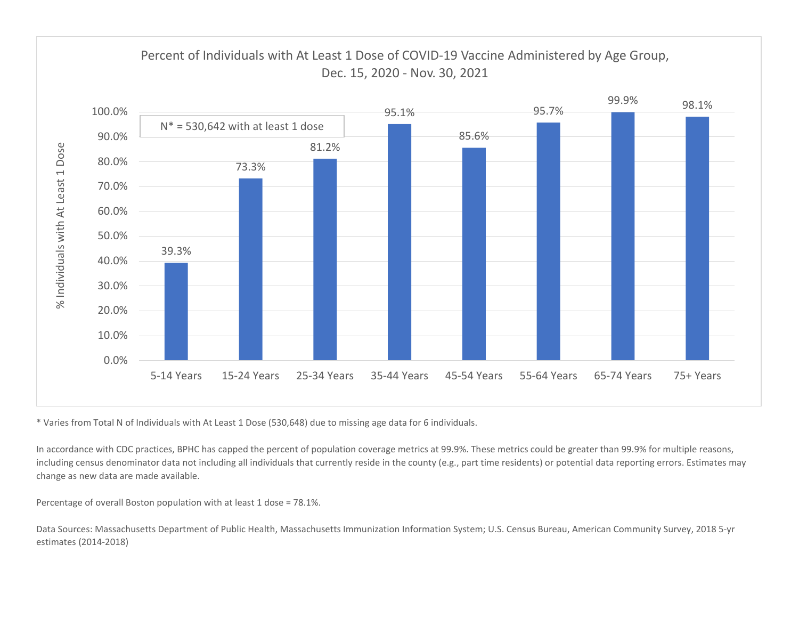

\* Varies from Total N of Individuals with At Least 1 Dose (530,648) due to missing age data for 6 individuals.

In accordance with CDC practices, BPHC has capped the percent of population coverage metrics at 99.9%. These metrics could be greater than 99.9% for multiple reasons, including census denominator data not including all individuals that currently reside in the county (e.g., part time residents) or potential data reporting errors. Estimates may change as new data are made available.

Percentage of overall Boston population with at least 1 dose = 78.1%.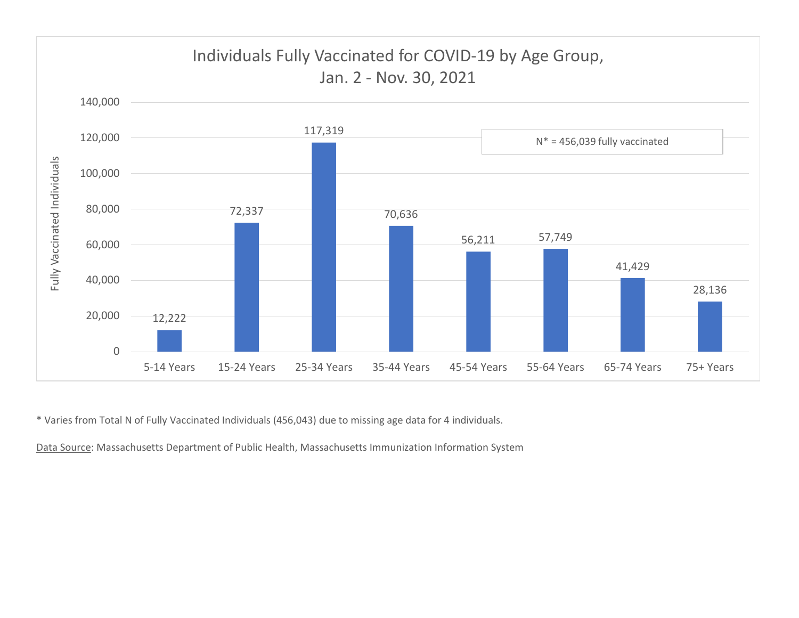

\* Varies from Total N of Fully Vaccinated Individuals (456,043) due to missing age data for 4 individuals.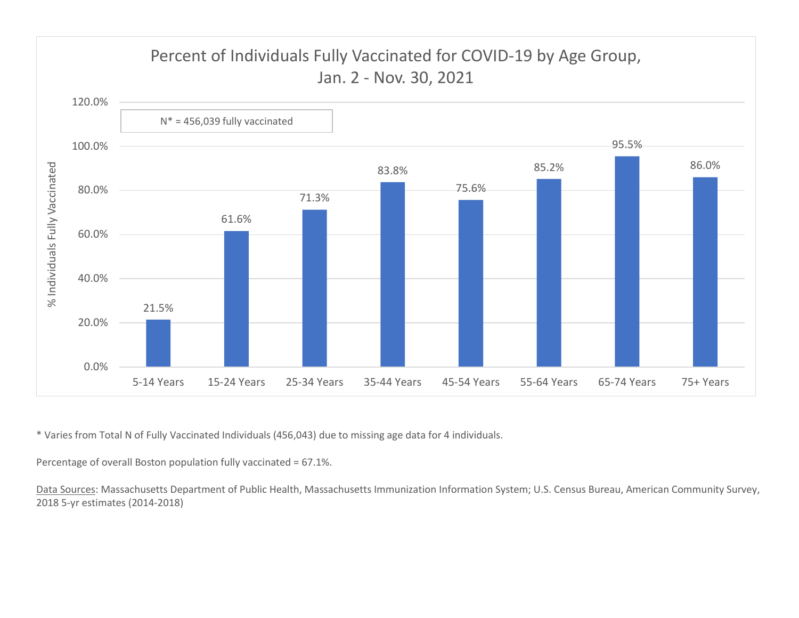

\* Varies from Total N of Fully Vaccinated Individuals (456,043) due to missing age data for 4 individuals.

Percentage of overall Boston population fully vaccinated = 67.1%.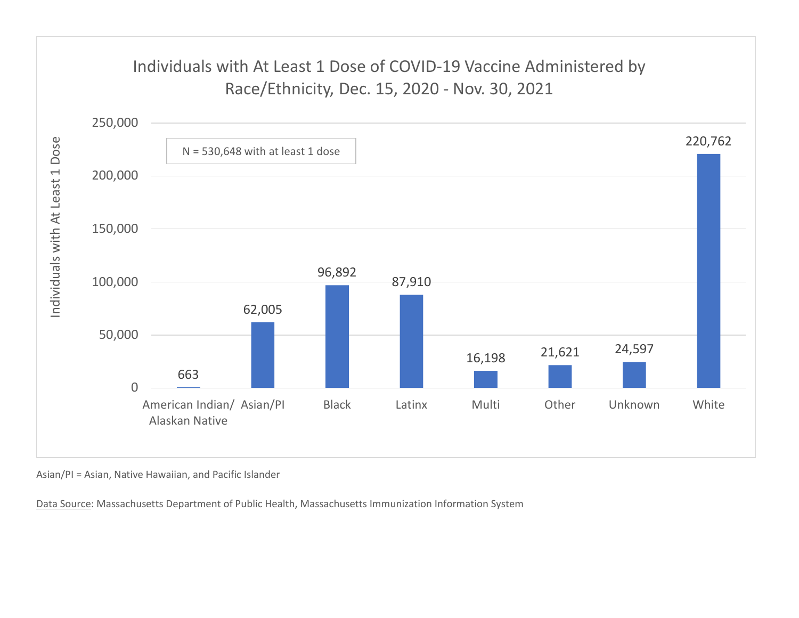## Individuals with At Least 1 Dose of COVID-19 Vaccine Administered by



Asian/PI = Asian, Native Hawaiian, and Pacific Islander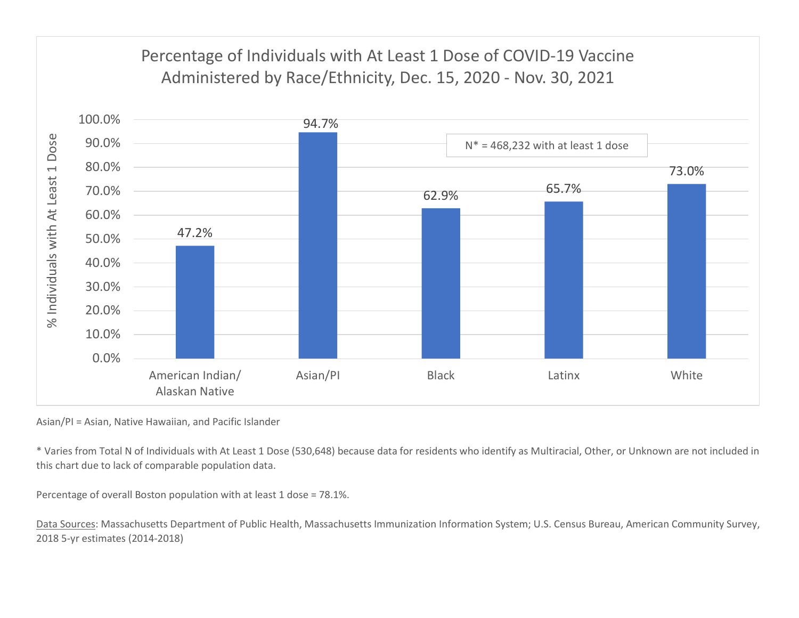

Asian/PI = Asian, Native Hawaiian, and Pacific Islander

\* Varies from Total N of Individuals with At Least 1 Dose (530,648) because data for residents who identify as Multiracial, Other, or Unknown are not included in this chart due to lack of comparable population data.

Percentage of overall Boston population with at least 1 dose = 78.1%.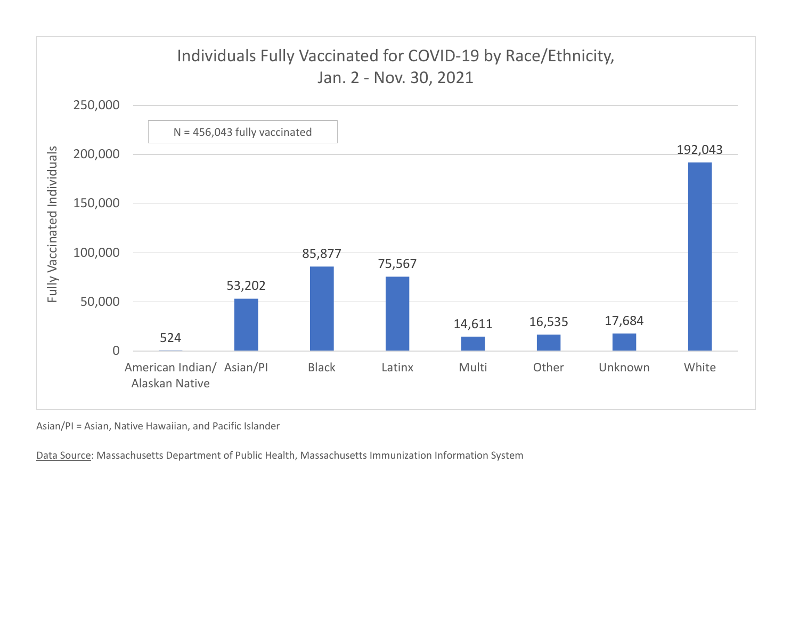

Asian/PI = Asian, Native Hawaiian, and Pacific Islander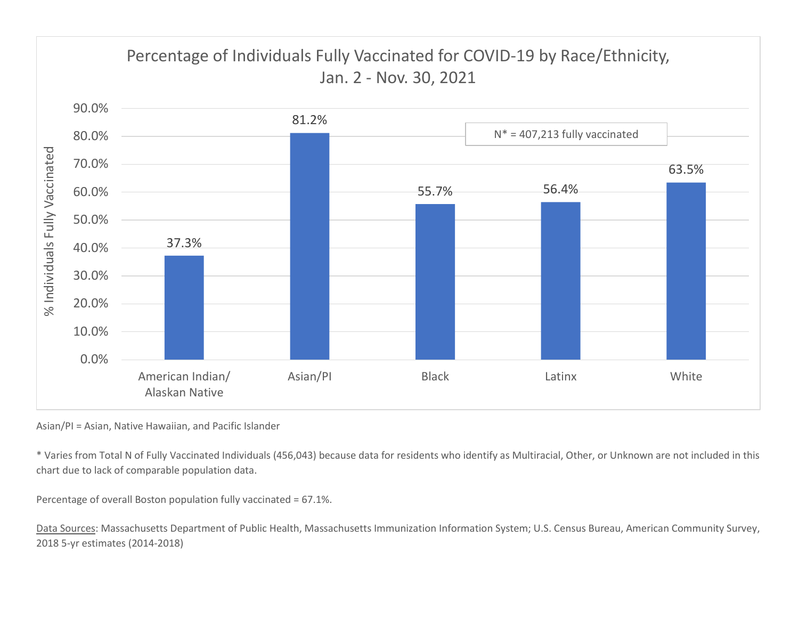

Asian/PI = Asian, Native Hawaiian, and Pacific Islander

\* Varies from Total N of Fully Vaccinated Individuals (456,043) because data for residents who identify as Multiracial, Other, or Unknown are not included in this chart due to lack of comparable population data.

Percentage of overall Boston population fully vaccinated = 67.1%.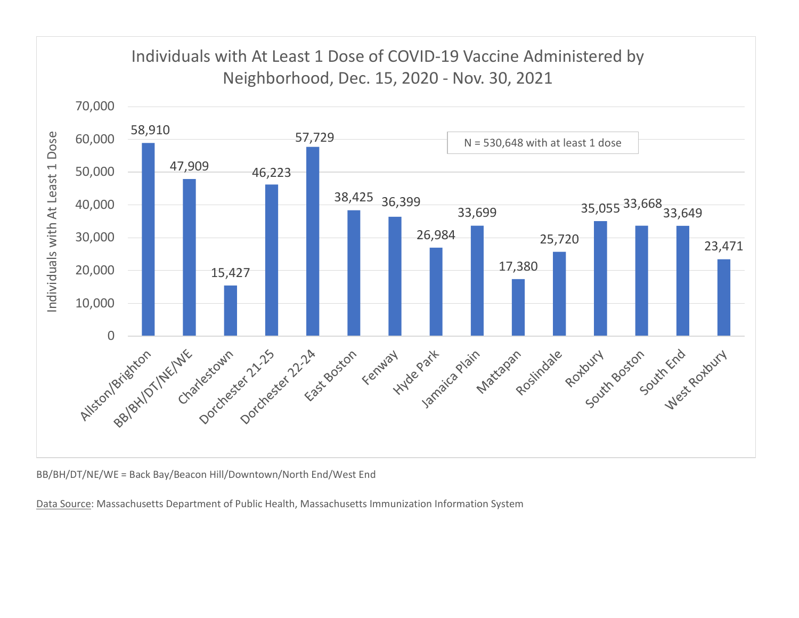

BB/BH/DT/NE/WE = Back Bay/Beacon Hill/Downtown/North End/West End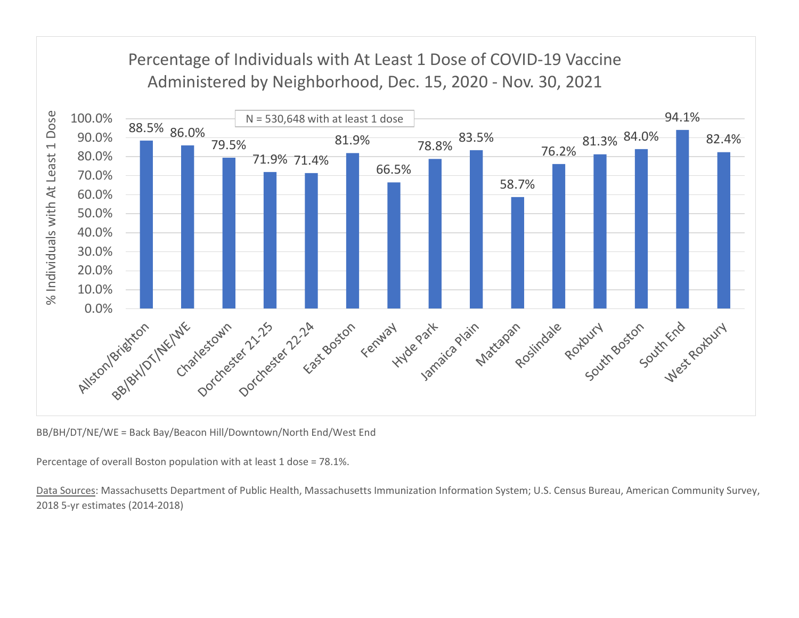

BB/BH/DT/NE/WE = Back Bay/Beacon Hill/Downtown/North End/West End

Percentage of overall Boston population with at least 1 dose = 78.1%.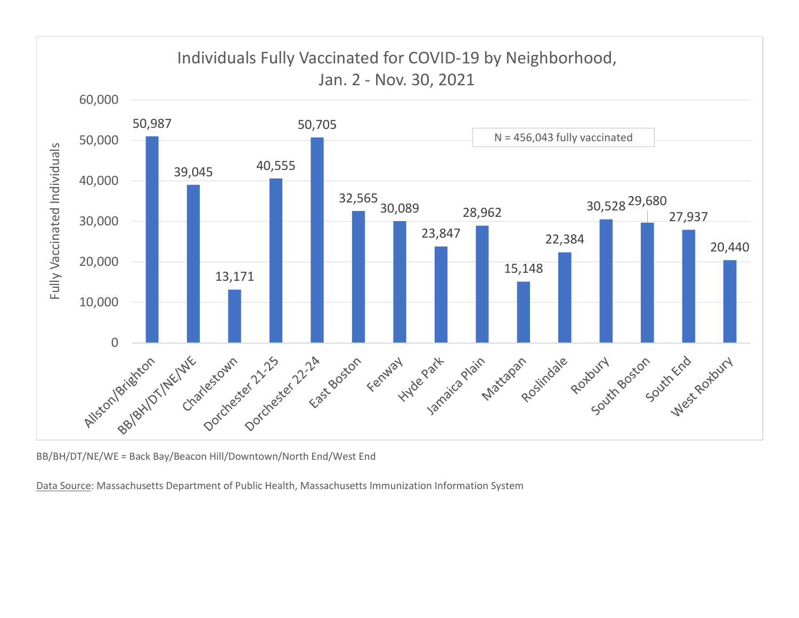

BB/BH/DT/NE/WE = Back Bay/Beacon Hill/Downtown/North End/West End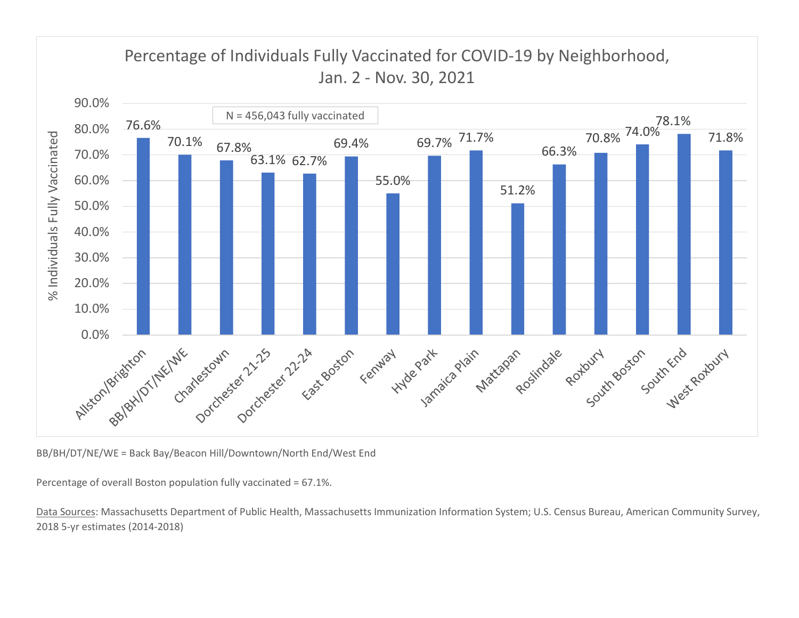

BB/BH/DT/NE/WE = Back Bay/Beacon Hill/Downtown/North End/West End

Percentage of overall Boston population fully vaccinated = 67.1%.